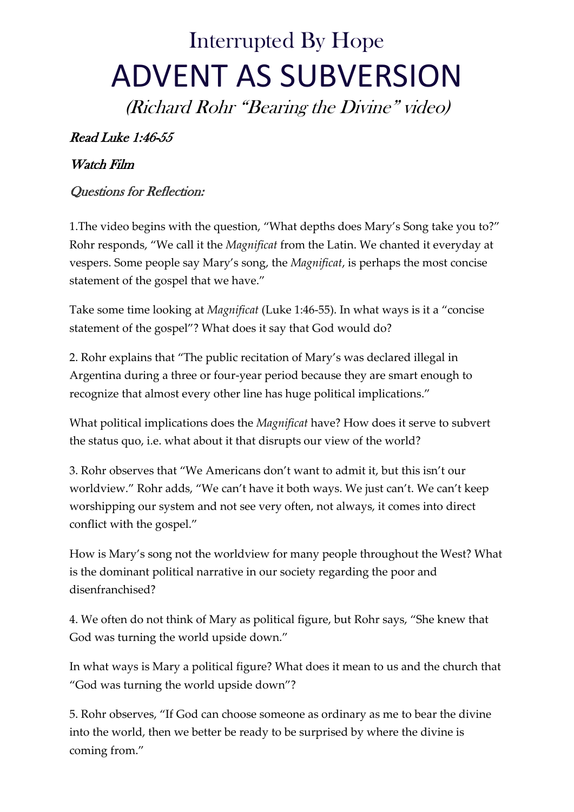## Interrupted By Hope ADVENT AS SUBVERSION

(Richard Rohr "Bearing the Divine" video)

## Read Luke 1:46-55

## Watch Film

## Questions for Reflection:

1.The video begins with the question, "What depths does Mary's Song take you to?" Rohr responds, "We call it the *Magnificat* from the Latin. We chanted it everyday at vespers. Some people say Mary's song, the *Magnificat*, is perhaps the most concise statement of the gospel that we have."

Take some time looking at *Magnificat* (Luke 1:46-55). In what ways is it a "concise statement of the gospel"? What does it say that God would do?

2. Rohr explains that "The public recitation of Mary's was declared illegal in Argentina during a three or four-year period because they are smart enough to recognize that almost every other line has huge political implications."

What political implications does the *Magnificat* have? How does it serve to subvert the status quo, i.e. what about it that disrupts our view of the world?

3. Rohr observes that "We Americans don't want to admit it, but this isn't our worldview." Rohr adds, "We can't have it both ways. We just can't. We can't keep worshipping our system and not see very often, not always, it comes into direct conflict with the gospel."

How is Mary's song not the worldview for many people throughout the West? What is the dominant political narrative in our society regarding the poor and disenfranchised?

4. We often do not think of Mary as political figure, but Rohr says, "She knew that God was turning the world upside down."

In what ways is Mary a political figure? What does it mean to us and the church that "God was turning the world upside down"?

5. Rohr observes, "If God can choose someone as ordinary as me to bear the divine into the world, then we better be ready to be surprised by where the divine is coming from."